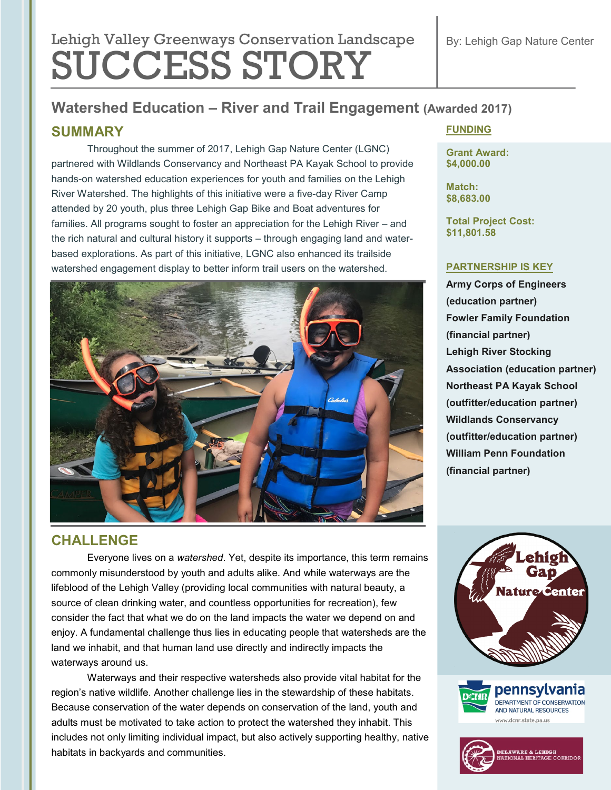# Lehigh Valley Greenways Conservation Landscape SUCCESS STORY

## **Watershed Education – River and Trail Engagement (Awarded 2017)**

#### **SUMMARY**

Throughout the summer of 2017, Lehigh Gap Nature Center (LGNC) partnered with Wildlands Conservancy and Northeast PA Kayak School to provide hands-on watershed education experiences for youth and families on the Lehigh River Watershed. The highlights of this initiative were a five-day River Camp attended by 20 youth, plus three Lehigh Gap Bike and Boat adventures for families. All programs sought to foster an appreciation for the Lehigh River – and the rich natural and cultural history it supports – through engaging land and waterbased explorations. As part of this initiative, LGNC also enhanced its trailside watershed engagement display to better inform trail users on the watershed.



### **CHALLENGE**

Everyone lives on a *watershed*. Yet, despite its importance, this term remains commonly misunderstood by youth and adults alike. And while waterways are the lifeblood of the Lehigh Valley (providing local communities with natural beauty, a source of clean drinking water, and countless opportunities for recreation), few consider the fact that what we do on the land impacts the water we depend on and enjoy. A fundamental challenge thus lies in educating people that watersheds are the land we inhabit, and that human land use directly and indirectly impacts the waterways around us.

Waterways and their respective watersheds also provide vital habitat for the region's native wildlife. Another challenge lies in the stewardship of these habitats. Because conservation of the water depends on conservation of the land, youth and adults must be motivated to take action to protect the watershed they inhabit. This includes not only limiting individual impact, but also actively supporting healthy, native habitats in backyards and communities.

#### **FUNDING**

**Grant Award: \$4,000.00**

**Match: \$8,683.00**

**Total Project Cost: \$11,801.58**

#### **PARTNERSHIP IS KEY**

**Army Corps of Engineers (education partner) Fowler Family Foundation (financial partner) Lehigh River Stocking Association (education partner) Northeast PA Kayak School (outfitter/education partner) Wildlands Conservancy (outfitter/education partner) William Penn Foundation (financial partner)**